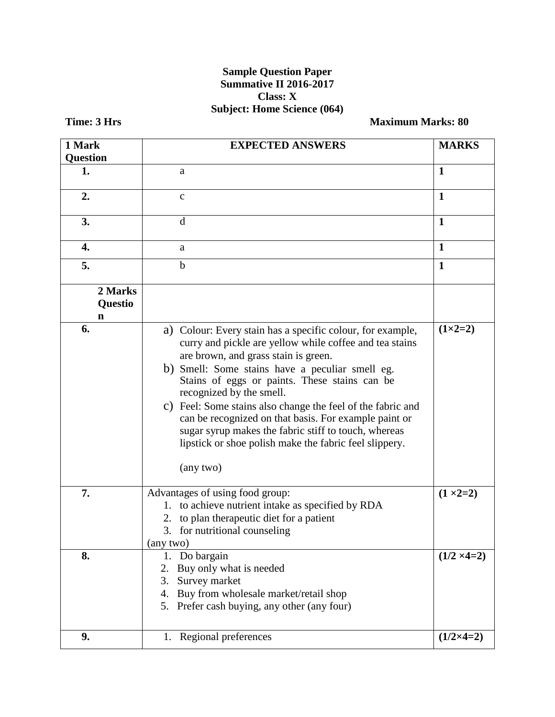## **Sample Question Paper Summative II 2016-2017 Class: X Subject: Home Science (064)**

**Time: 3 Hrs Maximum Marks: 80** 

| 1 Mark                  | <b>EXPECTED ANSWERS</b>                                                                                                                                                                                                                                                                                                                                                                                                                                                                                                                              |                    |  |
|-------------------------|------------------------------------------------------------------------------------------------------------------------------------------------------------------------------------------------------------------------------------------------------------------------------------------------------------------------------------------------------------------------------------------------------------------------------------------------------------------------------------------------------------------------------------------------------|--------------------|--|
| <b>Question</b>         |                                                                                                                                                                                                                                                                                                                                                                                                                                                                                                                                                      |                    |  |
| 1.                      | a                                                                                                                                                                                                                                                                                                                                                                                                                                                                                                                                                    | $\mathbf{1}$       |  |
| 2.                      | $\mathbf{C}$                                                                                                                                                                                                                                                                                                                                                                                                                                                                                                                                         | $\mathbf{1}$       |  |
| 3.                      | d                                                                                                                                                                                                                                                                                                                                                                                                                                                                                                                                                    | $\mathbf{1}$       |  |
| 4.                      | a                                                                                                                                                                                                                                                                                                                                                                                                                                                                                                                                                    | $\mathbf{1}$       |  |
| 5.                      | $\mathbf b$                                                                                                                                                                                                                                                                                                                                                                                                                                                                                                                                          | $\mathbf{1}$       |  |
| 2 Marks<br>Questio<br>n |                                                                                                                                                                                                                                                                                                                                                                                                                                                                                                                                                      |                    |  |
| 6.                      | a) Colour: Every stain has a specific colour, for example,<br>curry and pickle are yellow while coffee and tea stains<br>are brown, and grass stain is green.<br>b) Smell: Some stains have a peculiar smell eg.<br>Stains of eggs or paints. These stains can be<br>recognized by the smell.<br>c) Feel: Some stains also change the feel of the fabric and<br>can be recognized on that basis. For example paint or<br>sugar syrup makes the fabric stiff to touch, whereas<br>lipstick or shoe polish make the fabric feel slippery.<br>(any two) | $(1 \times 2 = 2)$ |  |
| 7.                      | Advantages of using food group:<br>1. to achieve nutrient intake as specified by RDA<br>2. to plan therapeutic diet for a patient<br>3. for nutritional counseling<br>(any two)                                                                                                                                                                                                                                                                                                                                                                      | $(1 \times 2=2)$   |  |
| 8.                      | Do bargain<br>1.<br>Buy only what is needed<br>2.<br>Survey market<br>3.<br>Buy from wholesale market/retail shop<br>4.<br>5. Prefer cash buying, any other (any four)                                                                                                                                                                                                                                                                                                                                                                               | $(1/2 \times 4=2)$ |  |
| 9.                      | Regional preferences<br>1.                                                                                                                                                                                                                                                                                                                                                                                                                                                                                                                           | $(1/2\times4=2)$   |  |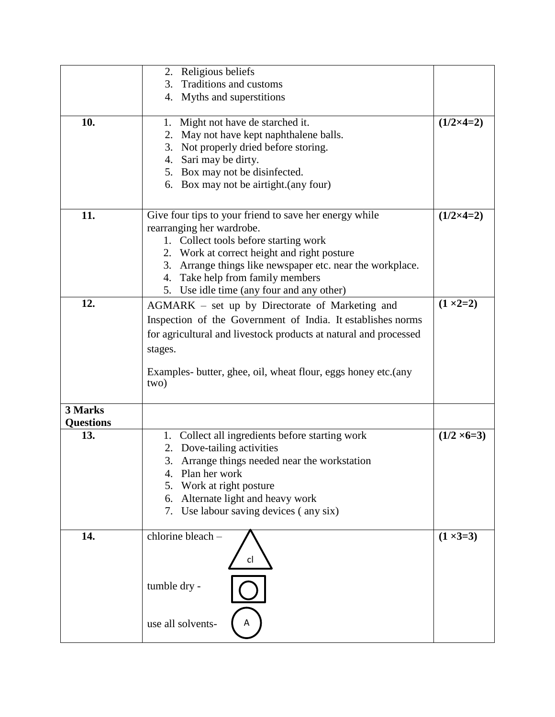|                  | 2. Religious beliefs                                             |                    |
|------------------|------------------------------------------------------------------|--------------------|
|                  | 3.<br>Traditions and customs                                     |                    |
|                  | 4. Myths and superstitions                                       |                    |
|                  |                                                                  |                    |
| 10.              | 1. Might not have de starched it.                                | $(1/2\times4=2)$   |
|                  | May not have kept naphthalene balls.<br>2.                       |                    |
|                  | Not properly dried before storing.<br>3.                         |                    |
|                  | 4. Sari may be dirty.                                            |                    |
|                  | 5. Box may not be disinfected.                                   |                    |
|                  | 6. Box may not be airtight. (any four)                           |                    |
|                  |                                                                  |                    |
|                  |                                                                  |                    |
| 11.              | Give four tips to your friend to save her energy while           | $(1/2\times4=2)$   |
|                  | rearranging her wardrobe.                                        |                    |
|                  | 1. Collect tools before starting work                            |                    |
|                  | 2. Work at correct height and right posture                      |                    |
|                  | 3. Arrange things like newspaper etc. near the workplace.        |                    |
|                  | 4. Take help from family members                                 |                    |
|                  | 5. Use idle time (any four and any other)                        |                    |
| 12.              | AGMARK – set up by Directorate of Marketing and                  | $(1 \times 2=2)$   |
|                  | Inspection of the Government of India. It establishes norms      |                    |
|                  | for agricultural and livestock products at natural and processed |                    |
|                  |                                                                  |                    |
|                  | stages.                                                          |                    |
|                  | Examples- butter, ghee, oil, wheat flour, eggs honey etc. (any   |                    |
|                  | two)                                                             |                    |
|                  |                                                                  |                    |
| 3 Marks          |                                                                  |                    |
| <b>Questions</b> |                                                                  |                    |
| 13.              | Collect all ingredients before starting work<br>1.               | $(1/2 \times 6=3)$ |
|                  | 2. Dove-tailing activities                                       |                    |
|                  |                                                                  |                    |
|                  | 3. Arrange things needed near the workstation                    |                    |
|                  | Plan her work<br>4.                                              |                    |
|                  | Work at right posture                                            |                    |
|                  | Alternate light and heavy work<br>6.                             |                    |
|                  | 7. Use labour saving devices (any six)                           |                    |
|                  |                                                                  |                    |
| 14.              | chlorine bleach -                                                | $(1 \times 3=3)$   |
|                  |                                                                  |                    |
|                  | cl                                                               |                    |
|                  |                                                                  |                    |
|                  | tumble dry -                                                     |                    |
|                  |                                                                  |                    |
|                  |                                                                  |                    |
|                  | use all solvents-                                                |                    |
|                  |                                                                  |                    |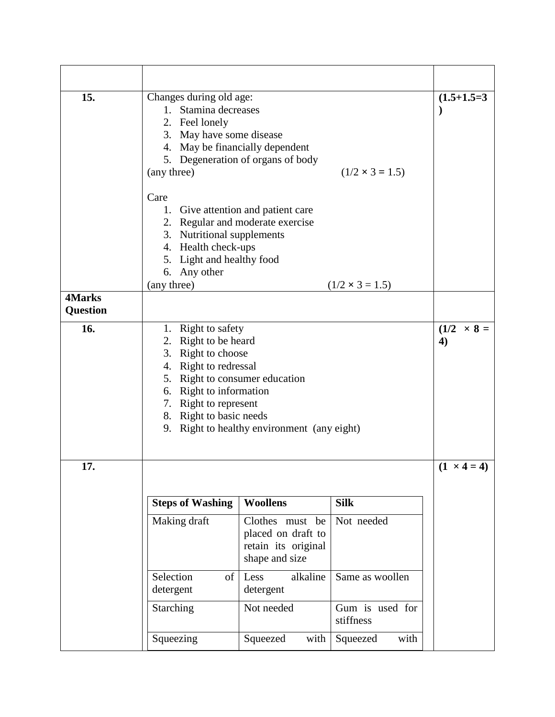| 15.             | Changes during old age:<br>1. Stamina decreases<br>2. Feel lonely<br>3. May have some disease<br>4. May be financially dependent<br>(any three)                                                                                                              | 5. Degeneration of organs of body                                              | $(1/2 \times 3 = 1.5)$       | $(1.5+1.5=3)$                         |
|-----------------|--------------------------------------------------------------------------------------------------------------------------------------------------------------------------------------------------------------------------------------------------------------|--------------------------------------------------------------------------------|------------------------------|---------------------------------------|
|                 | Care<br>1. Give attention and patient care<br>2. Regular and moderate exercise<br>3. Nutritional supplements<br>4. Health check-ups<br>5. Light and healthy food<br>6. Any other<br>(any three)                                                              |                                                                                | $(1/2 \times 3 = 1.5)$       |                                       |
| <b>4Marks</b>   |                                                                                                                                                                                                                                                              |                                                                                |                              |                                       |
| <b>Question</b> |                                                                                                                                                                                                                                                              |                                                                                |                              |                                       |
| 16.             | 1. Right to safety<br>Right to be heard<br>2.<br>3. Right to choose<br>4. Right to redressal<br>5. Right to consumer education<br>6. Right to information<br>7. Right to represent<br>8. Right to basic needs<br>9. Right to healthy environment (any eight) |                                                                                |                              | $(1/2 \times 8 =$<br>$\boldsymbol{4}$ |
| 17.             |                                                                                                                                                                                                                                                              |                                                                                |                              | $(1 \times 4 = 4)$                    |
|                 | <b>Steps of Washing</b>                                                                                                                                                                                                                                      | <b>Woollens</b>                                                                | <b>Silk</b>                  |                                       |
|                 | Making draft                                                                                                                                                                                                                                                 | Clothes must be<br>placed on draft to<br>retain its original<br>shape and size | Not needed                   |                                       |
|                 | Selection<br>of<br>detergent                                                                                                                                                                                                                                 | alkaline<br>Less<br>detergent                                                  | Same as woollen              |                                       |
|                 | Starching                                                                                                                                                                                                                                                    | Not needed                                                                     | Gum is used for<br>stiffness |                                       |
|                 | Squeezing                                                                                                                                                                                                                                                    | Squeezed<br>with                                                               | with<br>Squeezed             |                                       |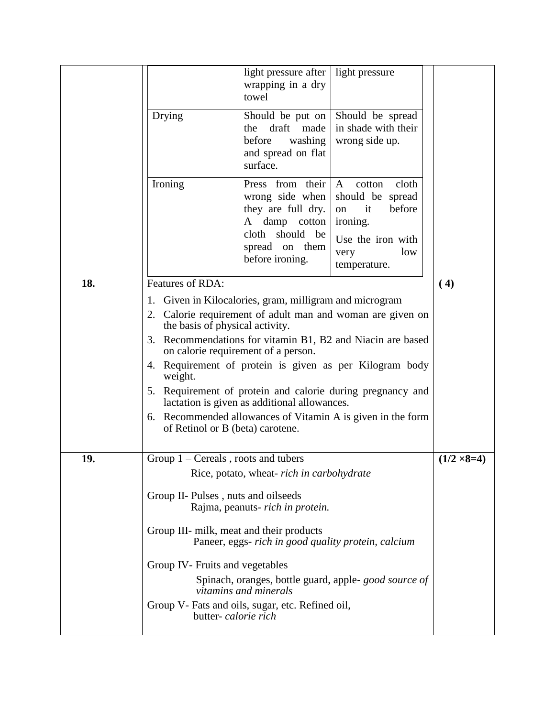|     |                                                                                                                                                                                                                                                                                                                                            | light pressure after<br>wrapping in a dry<br>towel                                                                                 | light pressure                                                                                                                                                                                                                                                                                                |                    |
|-----|--------------------------------------------------------------------------------------------------------------------------------------------------------------------------------------------------------------------------------------------------------------------------------------------------------------------------------------------|------------------------------------------------------------------------------------------------------------------------------------|---------------------------------------------------------------------------------------------------------------------------------------------------------------------------------------------------------------------------------------------------------------------------------------------------------------|--------------------|
|     | Drying                                                                                                                                                                                                                                                                                                                                     | Should be put on<br>draft<br>made<br>the<br>before<br>washing<br>and spread on flat<br>surface.                                    | Should be spread<br>in shade with their<br>wrong side up.                                                                                                                                                                                                                                                     |                    |
|     | Ironing                                                                                                                                                                                                                                                                                                                                    | Press from their<br>wrong side when<br>they are full dry.<br>A damp cotton<br>cloth should be<br>spread on them<br>before ironing. | $\mathbf{A}$<br>cloth<br>cotton<br>should be spread<br>before<br>it<br>on<br>ironing.<br>Use the iron with<br>low<br>very<br>temperature.                                                                                                                                                                     |                    |
| 18. | Features of RDA:                                                                                                                                                                                                                                                                                                                           |                                                                                                                                    |                                                                                                                                                                                                                                                                                                               | (4)                |
|     | 1. Given in Kilocalories, gram, milligram and microgram<br>the basis of physical activity.<br>3.<br>weight.<br>of Retinol or B (beta) carotene.                                                                                                                                                                                            | on calorie requirement of a person.<br>lactation is given as additional allowances.                                                | 2. Calorie requirement of adult man and woman are given on<br>Recommendations for vitamin B1, B2 and Niacin are based<br>4. Requirement of protein is given as per Kilogram body<br>5. Requirement of protein and calorie during pregnancy and<br>6. Recommended allowances of Vitamin A is given in the form |                    |
| 19. | Group $1$ – Cereals, roots and tubers                                                                                                                                                                                                                                                                                                      |                                                                                                                                    |                                                                                                                                                                                                                                                                                                               | $(1/2 \times 8=4)$ |
|     | Rice, potato, wheat-rich in carbohydrate<br>Group II- Pulses, nuts and oilseeds<br>Rajma, peanuts- rich in protein.<br>Group III- milk, meat and their products<br>Paneer, eggs- rich in good quality protein, calcium<br>Group IV- Fruits and vegetables<br>Spinach, oranges, bottle guard, apple-good source of<br>vitamins and minerals |                                                                                                                                    |                                                                                                                                                                                                                                                                                                               |                    |
|     | Group V- Fats and oils, sugar, etc. Refined oil,<br>butter- calorie rich                                                                                                                                                                                                                                                                   |                                                                                                                                    |                                                                                                                                                                                                                                                                                                               |                    |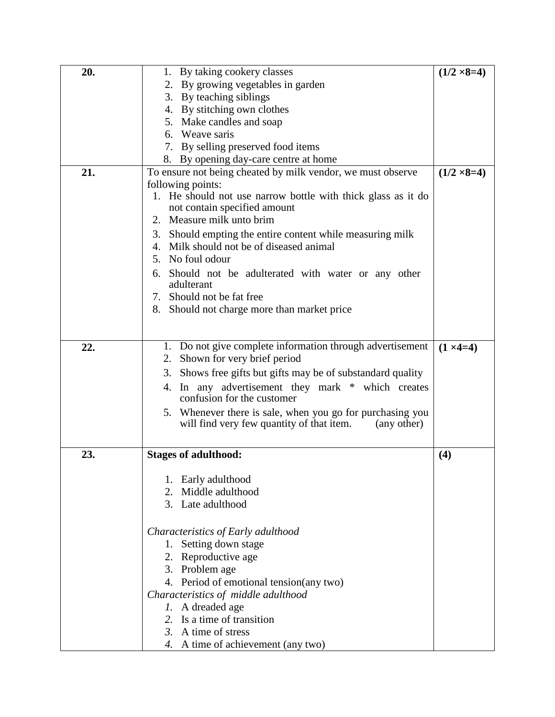| 20. | 1. By taking cookery classes                                                    | $(1/2 \times 8=4)$ |
|-----|---------------------------------------------------------------------------------|--------------------|
|     | 2. By growing vegetables in garden                                              |                    |
|     | 3. By teaching siblings                                                         |                    |
|     | 4. By stitching own clothes                                                     |                    |
|     | 5. Make candles and soap                                                        |                    |
|     | 6. Weave saris                                                                  |                    |
|     | 7. By selling preserved food items                                              |                    |
|     | 8. By opening day-care centre at home                                           |                    |
| 21. | To ensure not being cheated by milk vendor, we must observe                     | $(1/2 \times 8=4)$ |
|     | following points:                                                               |                    |
|     | 1. He should not use narrow bottle with thick glass as it do                    |                    |
|     | not contain specified amount                                                    |                    |
|     | 2. Measure milk unto brim                                                       |                    |
|     | Should empting the entire content while measuring milk<br>3.                    |                    |
|     | 4. Milk should not be of diseased animal                                        |                    |
|     | 5. No foul odour                                                                |                    |
|     |                                                                                 |                    |
|     | Should not be adulterated with water or any other<br>6.<br>adulterant           |                    |
|     | 7. Should not be fat free                                                       |                    |
|     | 8. Should not charge more than market price                                     |                    |
|     |                                                                                 |                    |
|     |                                                                                 |                    |
| 22. | 1. Do not give complete information through advertisement                       | $(1 \times 4=4)$   |
|     | 2. Shown for very brief period                                                  |                    |
|     | 3. Shows free gifts but gifts may be of substandard quality                     |                    |
|     |                                                                                 |                    |
|     | 4. In any advertisement they mark * which creates<br>confusion for the customer |                    |
|     | 5. Whenever there is sale, when you go for purchasing you                       |                    |
|     | will find very few quantity of that item.<br>(any other)                        |                    |
|     |                                                                                 |                    |
|     |                                                                                 |                    |
| 23. | <b>Stages of adulthood:</b>                                                     | (4)                |
|     |                                                                                 |                    |
|     | Early adulthood                                                                 |                    |
|     | Middle adulthood<br>2.                                                          |                    |
|     | 3. Late adulthood                                                               |                    |
|     |                                                                                 |                    |
|     | Characteristics of Early adulthood                                              |                    |
|     | 1. Setting down stage                                                           |                    |
|     | 2. Reproductive age                                                             |                    |
|     | 3. Problem age                                                                  |                    |
|     | 4. Period of emotional tension(any two)                                         |                    |
|     | Characteristics of middle adulthood                                             |                    |
|     | 1. A dreaded age                                                                |                    |
|     | 2. Is a time of transition                                                      |                    |
|     | 3. A time of stress                                                             |                    |
|     | 4. A time of achievement (any two)                                              |                    |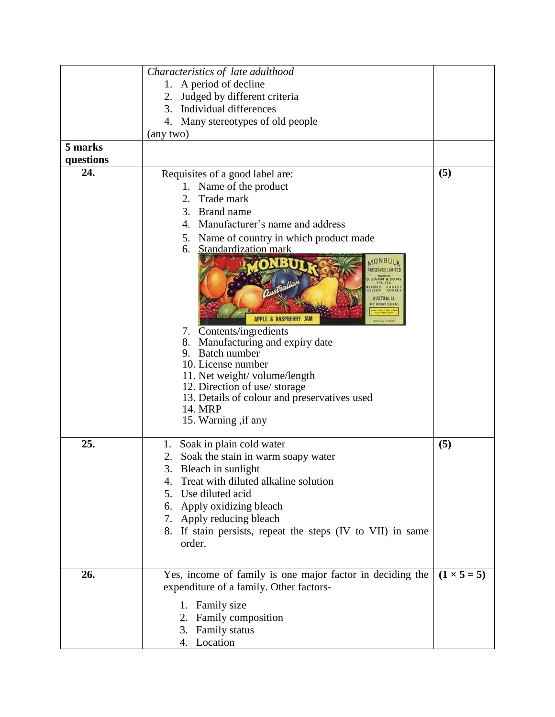|           | Characteristics of late adulthood                                                                                                                                                                                                                                                                                                                                                                                                                                                                          |                    |
|-----------|------------------------------------------------------------------------------------------------------------------------------------------------------------------------------------------------------------------------------------------------------------------------------------------------------------------------------------------------------------------------------------------------------------------------------------------------------------------------------------------------------------|--------------------|
|           | 1. A period of decline                                                                                                                                                                                                                                                                                                                                                                                                                                                                                     |                    |
|           | 2. Judged by different criteria                                                                                                                                                                                                                                                                                                                                                                                                                                                                            |                    |
|           | 3. Individual differences                                                                                                                                                                                                                                                                                                                                                                                                                                                                                  |                    |
|           | 4. Many stereotypes of old people                                                                                                                                                                                                                                                                                                                                                                                                                                                                          |                    |
|           | (any two)                                                                                                                                                                                                                                                                                                                                                                                                                                                                                                  |                    |
| 5 marks   |                                                                                                                                                                                                                                                                                                                                                                                                                                                                                                            |                    |
| questions |                                                                                                                                                                                                                                                                                                                                                                                                                                                                                                            |                    |
| 24.       | Requisites of a good label are:<br>1. Name of the product<br>Trade mark<br>2.                                                                                                                                                                                                                                                                                                                                                                                                                              | (5)                |
|           | 3. Brand name<br>Manufacturer's name and address<br>4.                                                                                                                                                                                                                                                                                                                                                                                                                                                     |                    |
|           | Name of country in which product made<br>5.<br>Standardization mark<br>6.<br><b>AONBULK</b><br>PRESERVES LIMITED<br>CAMM & SONS<br><b>INBULK HOBER</b><br>CTORIA TASMANI<br><b>AUSTRALIA</b><br>ET WEIGHT ELB. BOZ<br>APPLE & RASPBERRY JAM<br>7. Contents/ingredients<br>Manufacturing and expiry date<br>8.<br>9. Batch number<br>10. License number<br>11. Net weight/ volume/length<br>12. Direction of use/storage<br>13. Details of colour and preservatives used<br>14. MRP<br>15. Warning , if any |                    |
| 25.       | Soak in plain cold water<br>1.<br>Soak the stain in warm soapy water<br>2.<br>3.<br>Bleach in sunlight<br>4. Treat with diluted alkaline solution<br>Use diluted acid<br>5.<br>6. Apply oxidizing bleach<br>7. Apply reducing bleach<br>8. If stain persists, repeat the steps (IV to VII) in same<br>order.                                                                                                                                                                                               | (5)                |
| 26.       | Yes, income of family is one major factor in deciding the<br>expenditure of a family. Other factors-<br>1. Family size<br>2. Family composition<br>3. Family status                                                                                                                                                                                                                                                                                                                                        | $(1 \times 5 = 5)$ |
|           | 4. Location                                                                                                                                                                                                                                                                                                                                                                                                                                                                                                |                    |